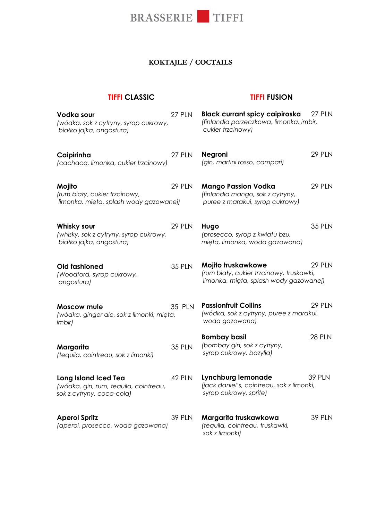

### **KOKTAJLE / COCTAILS**

#### **TIFFI CLASSIC**

#### **TIFFI FUSION**

| Vodka sour<br>(wódka, sok z cytryny, syrop cukrowy,<br>białko jajka, angostura)            | 27 PLN        | Black currant spicy caipiroska<br>(finlandia porzeczkowa, limonka, imbir,<br>cukier trzcinowy)           | <b>27 PLN</b> |
|--------------------------------------------------------------------------------------------|---------------|----------------------------------------------------------------------------------------------------------|---------------|
| Caipirinha<br>(cachaca, limonka, cukier trzcinowy)                                         | 27 PLN        | <b>Negroni</b><br>(gin, martini rosso, campari)                                                          | 29 PLN        |
| Mojito<br>(rum biały, cukier trzcinowy,<br>limonka, mięta, splash wody gazowanej)          | <b>29 PLN</b> | <b>Mango Passion Vodka</b><br>(finlandia mango, sok z cytryny,<br>puree z marakui, syrop cukrowy)        | 29 PLN        |
| Whisky sour<br>(whisky, sok z cytryny, syrop cukrowy,<br>białko jajka, angostura)          | <b>29 PLN</b> | Hugo<br>(prosecco, syrop z kwiatu bzu,<br>mięta, limonka, woda gazowana)                                 | <b>35 PLN</b> |
| <b>Old fashioned</b><br>(Woodford, syrop cukrowy,<br>angostura)                            | <b>35 PLN</b> | Mojito truskawkowe<br>(rum biały, cukier trzcinowy, truskawki,<br>limonka, mięta, splash wody gazowanej) | <b>29 PLN</b> |
| Moscow mule<br>(wódka, ginger ale, sok z limonki, mięta,<br>imbir)                         | <b>35 PLN</b> | <b>Passionfruit Collins</b><br>(wódka, sok z cytryny, puree z marakui,<br>woda gazowana)                 | <b>29 PLN</b> |
| Margarita<br>(tequila, cointreau, sok z limonki)                                           | <b>35 PLN</b> | <b>Bombay basil</b><br>(bombay gin, sok z cytryny,<br>syrop cukrowy, bazylia)                            | 28 PLN        |
| Long Island Iced Tea<br>(wódka, gin, rum, tequila, cointreau,<br>sok z cytryny, coca-cola) | 42 PLN        | Lynchburg lemonade<br>(jack daniel's, cointreau, sok z limonki,<br>syrop cukrowy, sprite)                | <b>39 PLN</b> |
| <b>Aperol Spritz</b><br>(aperol, prosecco, woda gazowana)                                  | <b>39 PLN</b> | Margarita truskawkowa<br>(tequila, cointreau, truskawki,<br>sok z limonki)                               | <b>39 PLN</b> |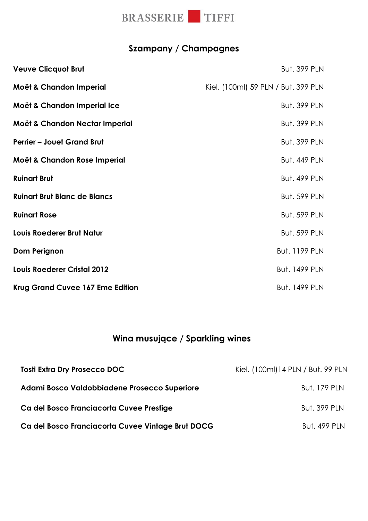

## **Szampany / Champagnes**

| <b>Veuve Clicquot Brut</b>          | <b>But. 399 PLN</b>                 |
|-------------------------------------|-------------------------------------|
| Moët & Chandon Imperial             | Kiel. (100ml) 59 PLN / But. 399 PLN |
| Moët & Chandon Imperial Ice         | <b>But. 399 PLN</b>                 |
| Moët & Chandon Nectar Imperial      | <b>But. 399 PLN</b>                 |
| <b>Perrier - Jouet Grand Brut</b>   | <b>But. 399 PLN</b>                 |
| Moët & Chandon Rose Imperial        | <b>But. 449 PLN</b>                 |
| <b>Ruinart Brut</b>                 | <b>But. 499 PLN</b>                 |
| <b>Ruinart Brut Blanc de Blancs</b> | <b>But. 599 PLN</b>                 |
| <b>Ruinart Rose</b>                 | <b>But. 599 PLN</b>                 |
| Louis Roederer Brut Natur           | <b>But. 599 PLN</b>                 |
| Dom Perignon                        | <b>But. 1199 PLN</b>                |
| <b>Louis Roederer Cristal 2012</b>  | <b>But. 1499 PLN</b>                |
| Krug Grand Cuvee 167 Eme Edition    | <b>But. 1499 PLN</b>                |

## **Wina musujące / Sparkling wines**

| <b>Tosti Extra Dry Prosecco DOC</b>               | Kiel. (100ml) 14 PLN / But. 99 PLN |
|---------------------------------------------------|------------------------------------|
| Adami Bosco Valdobbiadene Prosecco Superiore      | <b>But. 179 PLN</b>                |
| Ca del Bosco Franciacorta Cuvee Prestige          | <b>But. 399 PLN</b>                |
| Ca del Bosco Franciacorta Cuvee Vintage Brut DOCG | <b>But. 499 PLN</b>                |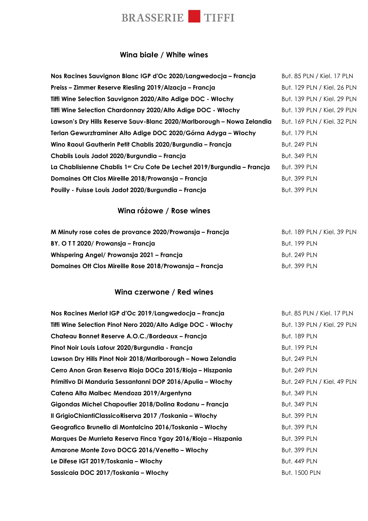

#### **Wina białe / White wines**

| Nos Racines Sauvignon Blanc IGP d'Oc 2020/Langwedocja - Francja                     | But. 85 PLN / Kiel. 17 PLN  |
|-------------------------------------------------------------------------------------|-----------------------------|
| Preiss – Zimmer Reserve Riesling 2019/Alzacja – Francja                             | But. 129 PLN / Kiel. 26 PLN |
| Tiffi Wine Selection Sauvignon 2020/Alto Adige DOC - Włochy                         | But. 139 PLN / Kiel. 29 PLN |
| Tiffi Wine Selection Chardonnay 2020/Alto Adige DOC - Włochy                        | But. 139 PLN / Kiel. 29 PLN |
| Lawson's Dry Hills Reserve Sauv-Blanc 2020/Marlborough - Nowa Zelandia              | But. 169 PLN / Kiel. 32 PLN |
| Terlan Gewurztraminer Alto Adige DOC 2020/Górna Adyga – Włochy                      | <b>But. 179 PLN</b>         |
| Wino Raoul Gautherin Petit Chablis 2020/Burgundia - Francja                         | <b>But. 249 PLN</b>         |
| Chablis Louis Jadot 2020/Burgundia - Francja                                        | <b>But. 349 PLN</b>         |
| La Chablisienne Chablis 1 <sup>er</sup> Cru Cote De Lechet 2019/Burgundia – Francja | <b>But. 399 PLN</b>         |
| Domaines Ott Clos Mireille 2018/Prowansja – Francja                                 | <b>But. 399 PLN</b>         |
| Pouilly - Fuisse Louis Jadot 2020/Burgundia - Francja                               | <b>But. 399 PLN</b>         |

#### **Wina różowe / Rose wines**

| M Minuty rose cotes de provance 2020/Prowansja – Francja | But. 189 PLN / Kiel. 39 PLN |
|----------------------------------------------------------|-----------------------------|
| BY. O T T 2020/ Prowansja – Francja                      | <b>But. 199 PLN</b>         |
| Whispering Angel/ Prowansja 2021 – Francja               | <b>But. 249 PLN</b>         |
| Domaines Ott Clos Mireille Rose 2018/Prowansja – Francja | <b>But. 399 PLN</b>         |

#### **Wina czerwone / Red wines**

| But. 85 PLN / Kiel. 17 PLN  |
|-----------------------------|
| But. 139 PLN / Kiel. 29 PLN |
| <b>But. 189 PLN</b>         |
| <b>But. 199 PLN</b>         |
| <b>But. 249 PLN</b>         |
| <b>But. 249 PLN</b>         |
| But. 249 PLN / Kiel. 49 PLN |
| <b>But. 349 PLN</b>         |
| <b>But. 349 PLN</b>         |
| <b>But. 399 PLN</b>         |
| <b>But. 399 PLN</b>         |
| <b>But. 399 PLN</b>         |
| <b>But. 399 PLN</b>         |
| <b>But. 449 PLN</b>         |
| <b>But. 1500 PLN</b>        |
|                             |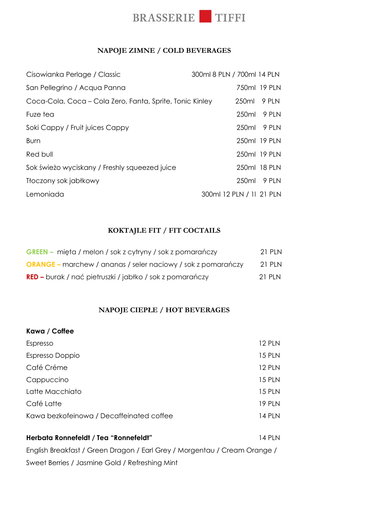

#### **NAPOJE ZIMNE / COLD BEVERAGES**

| Coca-Cola, Coca – Cola Zero, Fanta, Sprite, Tonic Kinley<br>250ml | 750ml 19 PLN<br>9 PLN<br>250ml 9 PLN<br>250ml 9 PLN |
|-------------------------------------------------------------------|-----------------------------------------------------|
|                                                                   |                                                     |
|                                                                   |                                                     |
|                                                                   |                                                     |
|                                                                   |                                                     |
|                                                                   | 250ml 19 PLN                                        |
|                                                                   | 250ml 19 PLN                                        |
|                                                                   | 250ml 18 PLN                                        |
|                                                                   | 250ml 9 PLN                                         |
| 300ml 12 PLN / 11 21 PLN                                          |                                                     |
|                                                                   |                                                     |

#### **KOKTAJLE FIT / FIT COCTAILS**

| <b>GREEN</b> – mięta / melon / sok z cytryny / sok z pomarańczy     | 21 PLN   |
|---------------------------------------------------------------------|----------|
| <b>ORANGE</b> – marchew / ananas / seler naciowy / sok z pomarańczy | 21 PLN   |
| <b>RED –</b> burak / nać pietruszki / jabłko / sok z pomarańczy     | $21$ PIN |

#### **NAPOJE CIEPŁE / HOT BEVERAGES**

| Kawa / Coffee                                                             |               |  |
|---------------------------------------------------------------------------|---------------|--|
| Espresso                                                                  | <b>12 PLN</b> |  |
| Espresso Doppio                                                           | <b>15 PLN</b> |  |
| Café Créme                                                                | <b>12 PLN</b> |  |
| Cappuccino                                                                | 15 PLN        |  |
| Latte Macchiato                                                           | <b>15 PLN</b> |  |
| Café Latte                                                                | <b>19 PLN</b> |  |
| Kawa bezkofeinowa / Decaffeinated coffee                                  | <b>14 PLN</b> |  |
| Herbata Ronnefeldt / Tea "Ronnefeldt"                                     | <b>14 PLN</b> |  |
| English Breakfast / Green Dragon / Earl Grey / Morgentau / Cream Orange / |               |  |

Sweet Berries / Jasmine Gold / Refreshing Mint